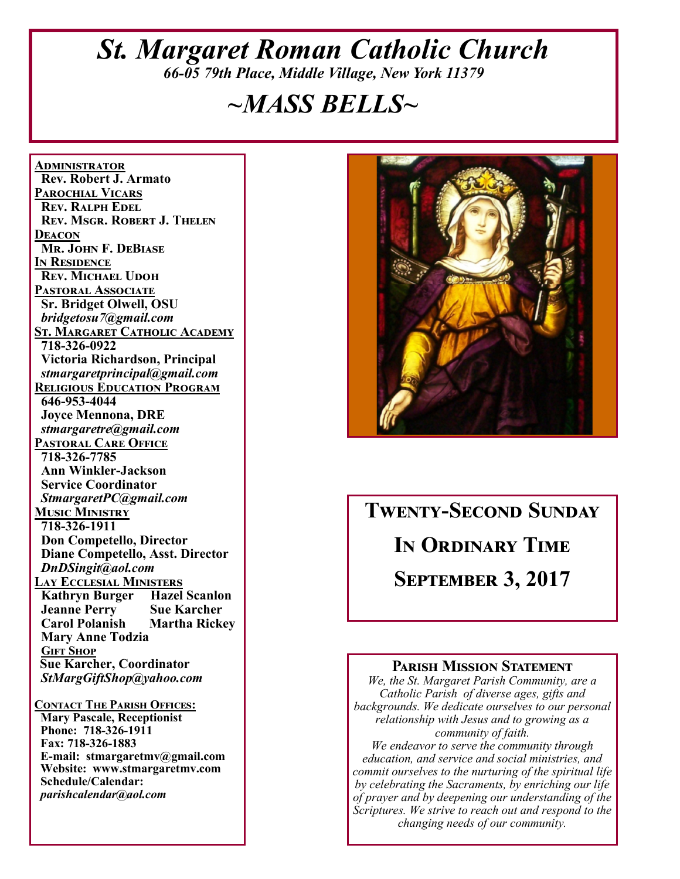## *St. Margaret Roman Catholic Church 66-05 79th Place, Middle Village, New York 11379*

# *~MASS BELLS~*

**<u>ADMINISTRATOR</u> Rev. Robert J. Armato PAROCHIAL VICARS REV. RALPH EDEL REV. MSGR. ROBERT J. THELEN DEACON Mr. John F. DeBiase I**N RESIDENCE **REV. MICHAEL UDOH PASTORAL ASSOCIATE Sr. Bridget Olwell, OSU**   *bridgetosu7@gmail.com*  <u>St. Margaret Catholic Academy</u>  **718-326-0922 Victoria Richardson, Principal**   *stmargaretprincipal@gmail.com*  **RELIGIOUS EDUCATION PROGRAM 646-953-4044 Joyce Mennona, DRE** *stmargaretre@gmail.com*  **PASTORAL CARE OFFICE 718-326-7785 Ann Winkler-Jackson Service Coordinator** *StmargaretPC@gmail.com*  **MUSIC MINISTRY 718-326-1911 Don Competello, Director Diane Competello, Asst. Director** *DnDSingit@aol.com*  **LAY ECCLESIAL MINISTERS Kathryn Burger Hazel Scanlon Jeanne Perry Sue Karcher Martha Rickey Mary Anne Todzia GIFT SHOP Sue Karcher, Coordinator** *StMargGiftShop@yahoo.com*  **CONTACT THE PARISH OFFICES:** 

 **Mary Pascale, Receptionist Phone: 718-326-1911 Fax: 718-326-1883 E-mail: stmargaretmv@gmail.com Website: www.stmargaretmv.com Schedule/Calendar:** *parishcalendar@aol.com* 



# **TWENTY-SECOND SUNDAY IN ORDINARY TIME SEPTEMBER 3, 2017**

#### **PARISH MISSION STATEMENT**

*We, the St. Margaret Parish Community, are a Catholic Parish of diverse ages, gifts and backgrounds. We dedicate ourselves to our personal relationship with Jesus and to growing as a community of faith. We endeavor to serve the community through education, and service and social ministries, and commit ourselves to the nurturing of the spiritual life by celebrating the Sacraments, by enriching our life* 

*of prayer and by deepening our understanding of the Scriptures. We strive to reach out and respond to the changing needs of our community.*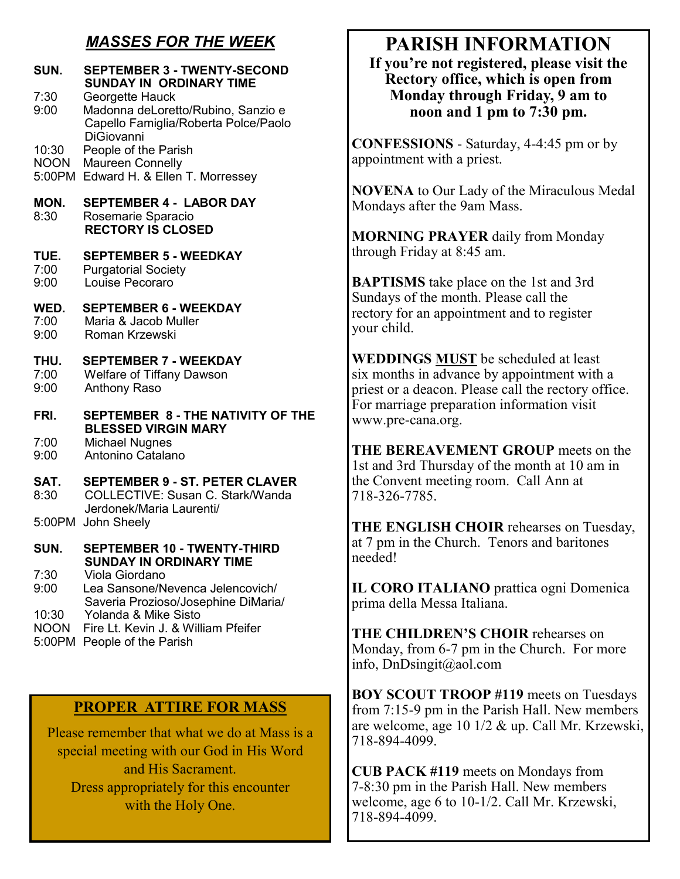### *MASSES FOR THE WEEK*

| SUN.<br>7:30<br>9:00           | <b>SEPTEMBER 3 - TWENTY-SECOND</b><br><b>SUNDAY IN ORDINARY TIME</b><br>Georgette Hauck<br>Madonna deLoretto/Rubino, Sanzio e<br>Capello Famiglia/Roberta Polce/Paolo<br><b>DiGiovanni</b> |
|--------------------------------|--------------------------------------------------------------------------------------------------------------------------------------------------------------------------------------------|
| 10:30<br><b>NOON</b><br>5:00PM | People of the Parish<br>Maureen Connelly<br>Edward H. & Ellen T. Morressey                                                                                                                 |
| MON.<br>8:30                   | <b>SEPTEMBER 4 - LABOR DAY</b><br>Rosemarie Sparacio<br><b>RECTORY IS CLOSED</b>                                                                                                           |
| TUE.<br>7:00<br>9:00           | <b>SEPTEMBER 5 - WEEDKAY</b><br><b>Purgatorial Society</b><br>Louise Pecoraro                                                                                                              |
| WED.<br>7:00<br>9:00           | <b>SEPTEMBER 6 - WEEKDAY</b><br>Maria & Jacob Muller<br><b>Roman Krzewski</b>                                                                                                              |
| THU.<br>7:00<br>9:00           | <b>SEPTEMBER 7 - WEEKDAY</b><br><b>Welfare of Tiffany Dawson</b><br><b>Anthony Raso</b>                                                                                                    |
| FRI.                           | <b>SEPTEMBER 8 - THE NATIVITY OF THE</b>                                                                                                                                                   |
| 7:00<br>9:00                   | <b>BLESSED VIRGIN MARY</b><br><b>Michael Nugnes</b><br>Antonino Catalano                                                                                                                   |
| SAT.<br>8:30                   | <b>SEPTEMBER 9 - ST. PETER CLAVER</b><br>COLLECTIVE: Susan C. Stark/Wanda<br>Jerdonek/Maria Laurenti/                                                                                      |
| 5:00PM                         | John Sheely                                                                                                                                                                                |
| SUN.                           | <b>SEPTEMBER 10 - TWENTY-THIRD</b><br>SUNDAY IN ORDINARY TIME                                                                                                                              |
| 7:30<br>9:00<br>10:30          | Viola Giordano<br>Lea Sansone/Nevenca Jelencovich/<br>Saveria Prozioso/Josephine DiMaria/<br>Yolanda & Mike Sisto                                                                          |
| <b>NOON</b><br>5:00PM          | Fire Lt. Kevin J. & William Pfeifer<br>People of the Parish                                                                                                                                |

### **PROPER ATTIRE FOR MASS**

Please remember that what we do at Mass is a special meeting with our God in His Word and His Sacrament. Dress appropriately for this encounter with the Holy One.

## **PARISH INFORMATION**

**If you're not registered, please visit the Rectory office, which is open from Monday through Friday, 9 am to noon and 1 pm to 7:30 pm.** 

**CONFESSIONS** - Saturday, 4-4:45 pm or by appointment with a priest.

**NOVENA** to Our Lady of the Miraculous Medal Mondays after the 9am Mass.

**MORNING PRAYER** daily from Monday through Friday at 8:45 am.

**BAPTISMS** take place on the 1st and 3rd Sundays of the month. Please call the rectory for an appointment and to register your child.

**WEDDINGS MUST** be scheduled at least six months in advance by appointment with a priest or a deacon. Please call the rectory office. For marriage preparation information visit www.pre-cana.org.

**THE BEREAVEMENT GROUP** meets on the 1st and 3rd Thursday of the month at 10 am in the Convent meeting room. Call Ann at 718-326-7785.

**THE ENGLISH CHOIR** rehearses on Tuesday, at 7 pm in the Church. Tenors and baritones needed!

**IL CORO ITALIANO** prattica ogni Domenica prima della Messa Italiana.

**THE CHILDREN'S CHOIR** rehearses on Monday, from 6-7 pm in the Church. For more info, DnDsingit@aol.com

**BOY SCOUT TROOP #119** meets on Tuesdays from 7:15-9 pm in the Parish Hall. New members are welcome, age 10 1/2 & up. Call Mr. Krzewski, 718-894-4099.

**CUB PACK #119** meets on Mondays from 7-8:30 pm in the Parish Hall. New members welcome, age 6 to 10-1/2. Call Mr. Krzewski, 718-894-4099.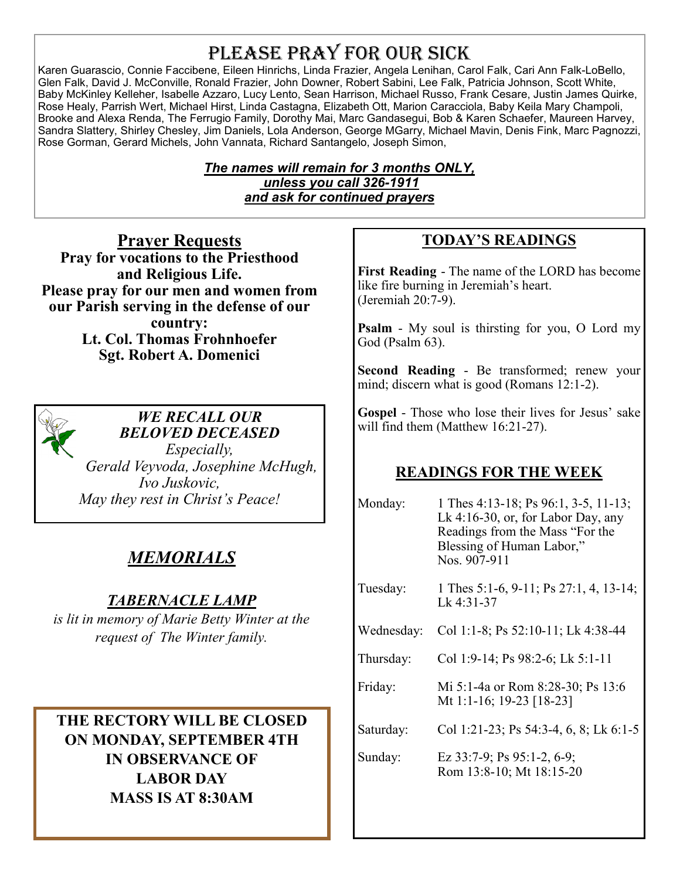## PLEASE PRAY FOR OUR SICK

Karen Guarascio, Connie Faccibene, Eileen Hinrichs, Linda Frazier, Angela Lenihan, Carol Falk, Cari Ann Falk-LoBello, Glen Falk, David J. McConville, Ronald Frazier, John Downer, Robert Sabini, Lee Falk, Patricia Johnson, Scott White, Baby McKinley Kelleher, Isabelle Azzaro, Lucy Lento, Sean Harrison, Michael Russo, Frank Cesare, Justin James Quirke, Rose Healy, Parrish Wert, Michael Hirst, Linda Castagna, Elizabeth Ott, Marion Caracciola, Baby Keila Mary Champoli, Brooke and Alexa Renda, The Ferrugio Family, Dorothy Mai, Marc Gandasegui, Bob & Karen Schaefer, Maureen Harvey, Sandra Slattery, Shirley Chesley, Jim Daniels, Lola Anderson, George MGarry, Michael Mavin, Denis Fink, Marc Pagnozzi, Rose Gorman, Gerard Michels, John Vannata, Richard Santangelo, Joseph Simon,

#### *The names will remain for 3 months ONLY, unless you call 326-1911 and ask for continued prayers*

**Prayer Requests Pray for vocations to the Priesthood and Religious Life. Please pray for our men and women from our Parish serving in the defense of our country: Lt. Col. Thomas Frohnhoefer Sgt. Robert A. Domenici** 



#### *WE RECALL OUR BELOVED DECEASED*

*Especially, Gerald Veyvoda, Josephine McHugh, Ivo Juskovic, May they rest in Christ's Peace!* 

## *MEMORIALS*

## *TABERNACLE LAMP*

*is lit in memory of Marie Betty Winter at the request of The Winter family.* 

**THE RECTORY WILL BE CLOSED ON MONDAY, SEPTEMBER 4TH IN OBSERVANCE OF LABOR DAY MASS IS AT 8:30AM** 

## **TODAY'S READINGS**

**First Reading** - The name of the LORD has become like fire burning in Jeremiah's heart. (Jeremiah 20:7-9).

**Psalm** - My soul is thirsting for you, O Lord my God (Psalm 63).

**Second Reading** - Be transformed; renew your mind; discern what is good (Romans 12:1-2).

**Gospel** - Those who lose their lives for Jesus' sake will find them (Matthew 16:21-27).

## **READINGS FOR THE WEEK**

| Monday:    | 1 Thes 4:13-18; Ps 96:1, 3-5, 11-13;<br>Lk $4:16-30$ , or, for Labor Day, any<br>Readings from the Mass "For the<br>Blessing of Human Labor,"<br>Nos. 907-911 |  |
|------------|---------------------------------------------------------------------------------------------------------------------------------------------------------------|--|
| Tuesday:   | 1 Thes 5:1-6, 9-11; Ps 27:1, 4, 13-14;<br>Lk 4:31-37                                                                                                          |  |
| Wednesday: | Col 1:1-8; Ps 52:10-11; Lk 4:38-44                                                                                                                            |  |
| Thursday:  | Col 1:9-14; Ps 98:2-6; Lk 5:1-11                                                                                                                              |  |
| Friday:    | Mi 5:1-4a or Rom 8:28-30; Ps 13:6<br>Mt 1:1-16; 19-23 [18-23]                                                                                                 |  |
| Saturday:  | Col 1:21-23; Ps 54:3-4, 6, 8; Lk 6:1-5                                                                                                                        |  |
| Sunday:    | Ez $33:7-9$ ; Ps $95:1-2, 6-9$ ;<br>Rom 13:8-10; Mt 18:15-20                                                                                                  |  |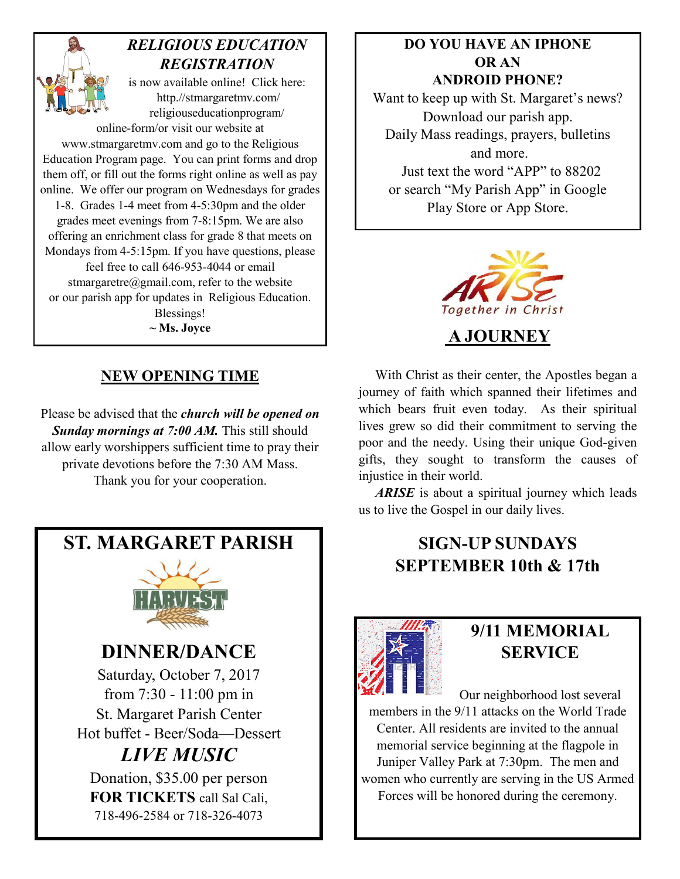

## *RELIGIOUS EDUCATION REGISTRATION*

is now available online! Click here: http.//stmargaretmv.com/ religiouseducationprogram/

online-form/or visit our website at www.stmargaretmv.com and go to the Religious Education Program page. You can print forms and drop them off, or fill out the forms right online as well as pay online. We offer our program on Wednesdays for grades 1-8. Grades 1-4 meet from 4-5:30pm and the older grades meet evenings from 7-8:15pm. We are also offering an enrichment class for grade 8 that meets on Mondays from 4-5:15pm. If you have questions, please feel free to call 646-953-4044 or email stmargaretre@gmail.com, refer to the website or our parish app for updates in Religious Education. Blessings! **~ Ms. Joyce A JOURNEY** 

### **NEW OPENING TIME**

Please be advised that the *church will be opened on Sunday mornings at 7:00 AM.* This still should allow early worshippers sufficient time to pray their private devotions before the 7:30 AM Mass. Thank you for your cooperation.

**ST. MARGARET PARISH** 



**DINNER/DANCE** 

Saturday, October 7, 2017 from 7:30 - 11:00 pm in St. Margaret Parish Center Hot buffet - Beer/Soda—Dessert

## *LIVE MUSIC*

Donation, \$35.00 per person **FOR TICKETS** call Sal Cali, 718-496-2584 or 718-326-4073

#### **DO YOU HAVE AN IPHONE OR AN ANDROID PHONE?**

Want to keep up with St. Margaret's news? Download our parish app. Daily Mass readings, prayers, bulletins and more. Just text the word "APP" to 88202 or search "My Parish App" in Google Play Store or App Store.



 With Christ as their center, the Apostles began a journey of faith which spanned their lifetimes and which bears fruit even today. As their spiritual lives grew so did their commitment to serving the poor and the needy. Using their unique God-given gifts, they sought to transform the causes of injustice in their world.

 *ARISE* is about a spiritual journey which leads us to live the Gospel in our daily lives.

## **SIGN-UP SUNDAYS SEPTEMBER 10th & 17th**



## **9/11 MEMORIAL SERVICE**

Our neighborhood lost several members in the 9/11 attacks on the World Trade Center. All residents are invited to the annual memorial service beginning at the flagpole in Juniper Valley Park at 7:30pm. The men and women who currently are serving in the US Armed Forces will be honored during the ceremony.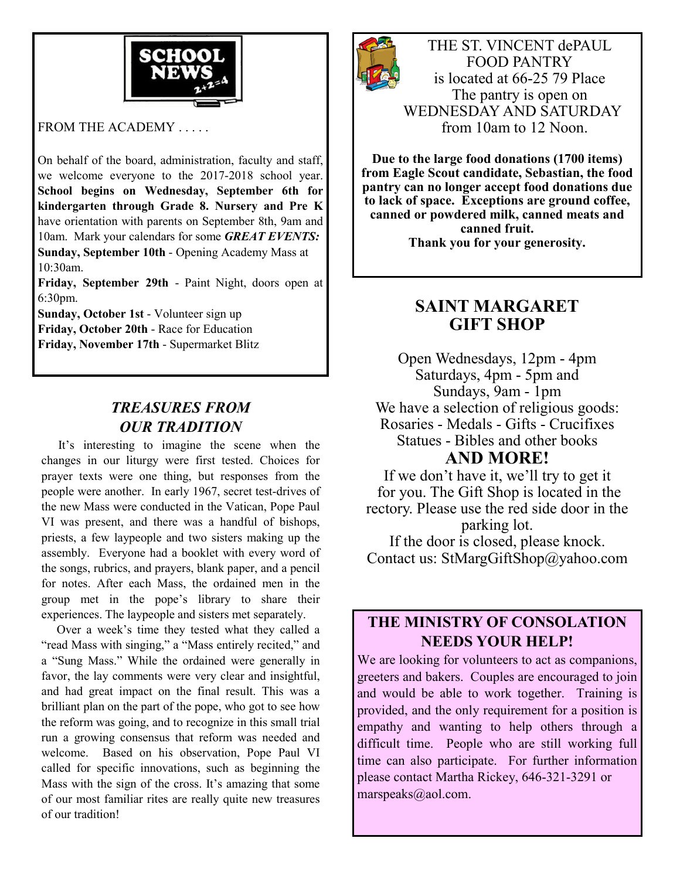

FROM THE ACADEMY . . . . .

On behalf of the board, administration, faculty and staff, we welcome everyone to the 2017-2018 school year. **School begins on Wednesday, September 6th for kindergarten through Grade 8. Nursery and Pre K**  have orientation with parents on September 8th, 9am and 10am. Mark your calendars for some *GREAT EVENTS:* **Sunday, September 10th** - Opening Academy Mass at 10:30am.

**Friday, September 29th** - Paint Night, doors open at 6:30pm.

**Sunday, October 1st** - Volunteer sign up **Friday, October 20th** - Race for Education **Friday, November 17th** - Supermarket Blitz

### *TREASURES FROM OUR TRADITION*

 It's interesting to imagine the scene when the changes in our liturgy were first tested. Choices for prayer texts were one thing, but responses from the people were another. In early 1967, secret test-drives of the new Mass were conducted in the Vatican, Pope Paul VI was present, and there was a handful of bishops, priests, a few laypeople and two sisters making up the assembly. Everyone had a booklet with every word of the songs, rubrics, and prayers, blank paper, and a pencil for notes. After each Mass, the ordained men in the group met in the pope's library to share their experiences. The laypeople and sisters met separately.

 Over a week's time they tested what they called a "read Mass with singing," a "Mass entirely recited," and a "Sung Mass." While the ordained were generally in favor, the lay comments were very clear and insightful, and had great impact on the final result. This was a brilliant plan on the part of the pope, who got to see how the reform was going, and to recognize in this small trial run a growing consensus that reform was needed and welcome. Based on his observation, Pope Paul VI called for specific innovations, such as beginning the Mass with the sign of the cross. It's amazing that some of our most familiar rites are really quite new treasures of our tradition!



THE ST. VINCENT dePAUL FOOD PANTRY is located at 66-25 79 Place The pantry is open on WEDNESDAY AND SATURDAY from 10am to 12 Noon.

**Due to the large food donations (1700 items) from Eagle Scout candidate, Sebastian, the food pantry can no longer accept food donations due to lack of space. Exceptions are ground coffee, canned or powdered milk, canned meats and canned fruit. Thank you for your generosity.** 

## **SAINT MARGARET GIFT SHOP**

Open Wednesdays, 12pm - 4pm Saturdays, 4pm - 5pm and Sundays, 9am - 1pm We have a selection of religious goods: Rosaries - Medals - Gifts - Crucifixes Statues - Bibles and other books **AND MORE!** 

If we don't have it, we'll try to get it for you. The Gift Shop is located in the rectory. Please use the red side door in the parking lot. If the door is closed, please knock. Contact us: StMargGiftShop@yahoo.com

#### **THE MINISTRY OF CONSOLATION NEEDS YOUR HELP!**

We are looking for volunteers to act as companions, greeters and bakers. Couples are encouraged to join and would be able to work together. Training is provided, and the only requirement for a position is empathy and wanting to help others through a difficult time. People who are still working full time can also participate. For further information please contact Martha Rickey, 646-321-3291 or marspeaks@aol.com.